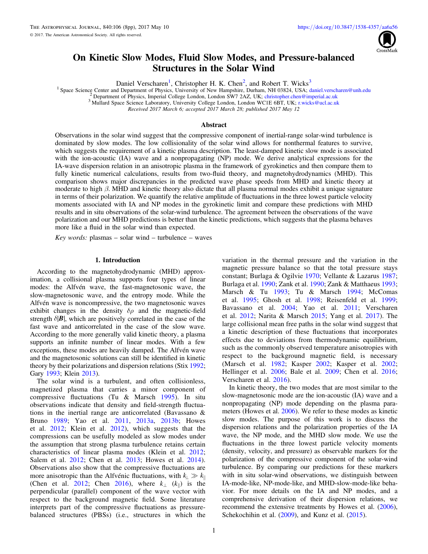

# On Kinetic Slow Modes, Fluid Slow Modes, and Pressure-balanced Structures in the Solar Wind

Daniel Verscharen<sup>1</sup>, Christopher H. K. Chen<sup>2</sup>, and Robert T. Wicks<sup>3</sup>

<sup>1</sup> Space Science Center and Department of Physics, University of New Hampshire, Durham, NH 03824, USA; [daniel.verscharen@unh.edu](mailto:daniel.verscharen@unh.edu)<br>
<sup>2</sup> Department of Physics, Imperial College London, London SW7 2AZ, UK; christopher.chen@i

Received 2017 March 6; accepted 2017 March 28; published 2017 May 12

#### Abstract

Observations in the solar wind suggest that the compressive component of inertial-range solar-wind turbulence is dominated by slow modes. The low collisionality of the solar wind allows for nonthermal features to survive, which suggests the requirement of a kinetic plasma description. The least-damped kinetic slow mode is associated with the ion-acoustic (IA) wave and a nonpropagating (NP) mode. We derive analytical expressions for the IA-wave dispersion relation in an anisotropic plasma in the framework of gyrokinetics and then compare them to fully kinetic numerical calculations, results from two-fluid theory, and magnetohydrodynamics (MHD). This comparison shows major discrepancies in the predicted wave phase speeds from MHD and kinetic theory at moderate to high  $\beta$ . MHD and kinetic theory also dictate that all plasma normal modes exhibit a unique signature in terms of their polarization. We quantify the relative amplitude of fluctuations in the three lowest particle velocity moments associated with IA and NP modes in the gyrokinetic limit and compare these predictions with MHD results and in situ observations of the solar-wind turbulence. The agreement between the observations of the wave polarization and our MHD predictions is better than the kinetic predictions, which suggests that the plasma behaves more like a fluid in the solar wind than expected.

Key words: plasmas – solar wind – turbulence – waves

#### 1. Introduction

According to the magnetohydrodynamic (MHD) approximation, a collisional plasma supports four types of linear modes: the Alfvén wave, the fast-magnetosonic wave, the slow-magnetosonic wave, and the entropy mode. While the Alfvén wave is noncompressive, the two magnetosonic waves exhibit changes in the density  $\delta \rho$  and the magnetic-field strength  $\delta$ |**B**|, which are positively correlated in the case of the fast wave and anticorrelated in the case of the slow wave. According to the more generally valid kinetic theory, a plasma supports an infinite number of linear modes. With a few exceptions, these modes are heavily damped. The Alfvén wave and the magnetosonic solutions can still be identified in kinetic theory by their polarizations and dispersion relations (Stix [1992](#page-7-0); Gary [1993;](#page-7-0) Klein [2013](#page-7-0)).

The solar wind is a turbulent, and often collisionless, magnetized plasma that carries a minor component of compressive fluctuations (Tu & Marsch [1995](#page-7-0)). In situ observations indicate that density and field-strength fluctuations in the inertial range are anticorrelated (Bavassano & Bruno [1989](#page-7-0); Yao et al. [2011,](#page-7-0) [2013a,](#page-7-0) [2013b;](#page-7-0) Howes et al. [2012](#page-7-0); Klein et al. [2012](#page-7-0)), which suggests that the compressions can be usefully modeled as slow modes under the assumption that strong plasma turbulence retains certain characteristics of linear plasma modes (Klein et al. [2012](#page-7-0); Salem et al. [2012;](#page-7-0) Chen et al. [2013;](#page-7-0) Howes et al. [2014](#page-7-0)). Observations also show that the compressive fluctuations are more anisotropic than the Alfvénic fluctuations, with  $k_{\perp} \gg k_{\parallel}$ (Chen et al. [2012](#page-7-0); Chen [2016](#page-7-0)), where  $k_{\perp}$  ( $k_{\parallel}$ ) is the perpendicular (parallel) component of the wave vector with respect to the background magnetic field. Some literature interprets part of the compressive fluctuations as pressurebalanced structures (PBSs) (i.e., structures in which the

variation in the thermal pressure and the variation in the magnetic pressure balance so that the total pressure stays constant; Burlaga & Ogilvie [1970](#page-7-0); Vellante & Lazarus [1987](#page-7-0); Burlaga et al. [1990;](#page-7-0) Zank et al. [1990;](#page-7-0) Zank & Matthaeus [1993](#page-7-0); Marsch & Tu [1993;](#page-7-0) Tu & Marsch [1994;](#page-7-0) McComas et al. [1995;](#page-7-0) Ghosh et al. [1998;](#page-7-0) Reisenfeld et al. [1999](#page-7-0); Bavassano et al. [2004;](#page-7-0) Yao et al. [2011](#page-7-0); Verscharen et al. [2012](#page-7-0); Narita & Marsch [2015](#page-7-0); Yang et al. [2017](#page-7-0)). The large collisional mean free paths in the solar wind suggest that a kinetic description of these fluctuations that incorporates effects due to deviations from thermodynamic equilibrium, such as the commonly observed temperature anisotropies with respect to the background magnetic field, is necessary (Marsch et al. [1982;](#page-7-0) Kasper [2002](#page-7-0); Kasper et al. [2002](#page-7-0); Hellinger et al. [2006;](#page-7-0) Bale et al. [2009;](#page-7-0) Chen et al. [2016](#page-7-0); Verscharen et al. [2016](#page-7-0)).

In kinetic theory, the two modes that are most similar to the slow-magnetosonic mode are the ion-acoustic (IA) wave and a nonpropagating (NP) mode depending on the plasma para-meters (Howes et al. [2006](#page-7-0)). We refer to these modes as kinetic slow modes. The purpose of this work is to discuss the dispersion relations and the polarization properties of the IA wave, the NP mode, and the MHD slow mode. We use the fluctuations in the three lowest particle velocity moments (density, velocity, and pressure) as observable markers for the polarization of the compressive component of the solar-wind turbulence. By comparing our predictions for these markers with in situ solar-wind observations, we distinguish between IA-mode-like, NP-mode-like, and MHD-slow-mode-like behavior. For more details on the IA and NP modes, and a comprehensive derivation of their dispersion relations, we recommend the extensive treatments by Howes et al. ([2006](#page-7-0)), Schekochihin et al. ([2009](#page-7-0)), and Kunz et al. ([2015](#page-7-0)).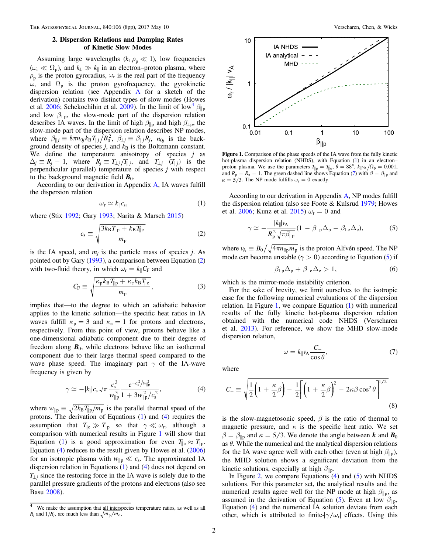# <span id="page-1-0"></span>2. Dispersion Relations and Damping Rates of Kinetic Slow Modes

Assuming large wavelengths ( $k_{\perp}$  $\rho_p \ll 1$ ), low frequencies  $(\omega_{\rm r} \ll \Omega_{\rm p})$ , and  $k_{\perp} \gg k_{\parallel}$  in an electron–proton plasma, where  $\rho_p$  is the proton gyroradius,  $\omega_r$  is the real part of the frequency  $\omega$ , and  $\Omega_p$  is the proton gyrofrequency, the gyrokinetic dispersion relation (see Appendix [A](#page-4-0) for a sketch of the derivation) contains two distinct types of slow modes (Howes et al. [2006;](#page-7-0) Schekochihin et al. [2009](#page-7-0)). In the limit of low<sup>4</sup>  $\beta_{\parallel p}$ and low  $\beta_{\perp p}$ , the slow-mode part of the dispersion relation describes IA waves. In the limit of high  $\beta_{\parallel p}$  and high  $\beta_{\perp p}$ , the slow-mode part of the dispersion relation describes NP modes, where  $\beta_{\parallel j} \equiv 8\pi n_{0j} k_B T_{\parallel j} / B_0^2$ ,  $\beta_{\perp j} \equiv \beta_{\parallel j} R_j$ ,  $n_{0j}$  is the background density of species  $j$ , and  $k<sub>B</sub>$  is the Boltzmann constant. We define the temperature anisotropy of species  $j$  as  $\Delta_j \equiv R_j - 1$ , where  $R_j \equiv T_{\perp j}/T_{\parallel j}$ , and  $T_{\perp j}$  ( $T_{\parallel j}$ ) is the perpendicular (parallel) temperature of species  $j$  with respect to the background magnetic field  $\mathbf{B}_0$ .

According to our derivation in Appendix [A](#page-4-0), IA waves fulfill the dispersion relation

$$
\omega_{\rm r} \simeq k_{\parallel} c_{\rm s},\tag{1}
$$

where (Stix [1992;](#page-7-0) Gary [1993;](#page-7-0) Narita & Marsch [2015](#page-7-0))

$$
c_{\rm s} \equiv \sqrt{\frac{3k_{\rm B}T_{\parallel p} + k_{\rm B}T_{\parallel e}}{m_{\rm p}}}
$$
(2)

is the IA speed, and  $m_i$  is the particle mass of species *j*. As pointed out by Gary ([1993](#page-7-0)), a comparison between Equation (2) with two-fluid theory, in which  $\omega_r = k_{\parallel} C_F$  and

$$
C_{\rm F} \equiv \sqrt{\frac{\kappa_{\rm p} k_{\rm B} T_{\parallel \rm p} + \kappa_{\rm e} k_{\rm B} T_{\parallel \rm e}}{m_{\rm p}}},\tag{3}
$$

implies that—to the degree to which an adiabatic behavior applies to the kinetic solution—the specific heat ratios in IA waves fulfill  $\kappa_p = 3$  and  $\kappa_e = 1$  for protons and electrons, respectively. From this point of view, protons behave like a one-dimensional adiabatic component due to their degree of freedom along  $B_0$ , while electrons behave like an isothermal component due to their large thermal speed compared to the wave phase speed. The imaginary part  $\gamma$  of the IA-wave frequency is given by

$$
\gamma \simeq -|k_{\parallel}c_{s}\sqrt{\pi} \frac{c_{s}^{3}}{w_{\parallel p}^{3}} \frac{e^{-c_{s}^{2}/w_{\parallel p}^{2}}}{1+3w_{\parallel p}^{2}/c_{s}^{2}},
$$
\n(4)

where  $w_{\parallel p} \equiv \sqrt{2k_B T_{\parallel p}/m_p}$  is the parallel thermal speed of the protons. The derivation of Equations (1) and (4) requires the assumption that  $T_{\parallel e} \gg T_{\parallel p}$  so that  $\gamma \ll \omega_r$ , although a comparison with numerical results in Figure 1 will show that Equation (1) is a good approximation for even  $T_{\parallel e} \approx T_{\parallel p}$ . Equation (4) reduces to the result given by Howes et al. ([2006](#page-7-0)) for an isotropic plasma with  $w_{\parallel p} \ll c_s$ . The approximated IA dispersion relation in Equations (1) and (4) does not depend on  $T_{\perp i}$  since the restoring force in the IA wave is solely due to the parallel pressure gradients of the protons and electrons (also see Basu [2008](#page-7-0)).



Figure 1. Comparison of the phase speeds of the IA wave from the fully kinetic hot-plasma dispersion relation (NHDS), with Equation (1) in an electron– proton plasma. We use the parameters  $T_{\parallel p} = T_{\parallel e}$ ,  $\theta = 88^\circ$ ,  $k_{\parallel} v_A / \Omega_p = 0.001$ , and  $R_p = R_e = 1$ . The green dashed line shows Equation (7) with  $\beta = \beta_{\parallel p}$  and  $\kappa = 5/3$ . The NP mode fulfills  $\omega_r = 0$  exactly.

According to our derivation in Appendix [A,](#page-4-0) NP modes fulfill the dispersion relation (also see Foote & Kulsrud [1979](#page-7-0); Howes et al. [2006](#page-7-0); Kunz et al. [2015](#page-7-0))  $\omega_{\rm r} = 0$  and

$$
\gamma \simeq -\frac{|k_{\parallel}|v_{\rm A}}{R_{\rm p}^2 \sqrt{\pi \beta_{\parallel p}}} (1 - \beta_{\perp \rm p} \Delta_{\rm p} - \beta_{\perp \rm e} \Delta_{\rm e}), \tag{5}
$$

where  $v_A \equiv B_0 / \sqrt{4 \pi n_{0p} m_p}$  is the proton Alfvén speed. The NP mode can become unstable ( $\gamma > 0$ ) according to Equation (5) if

$$
\beta_{\perp p} \Delta_p + \beta_{\perp e} \Delta_e > 1, \tag{6}
$$

which is the mirror-mode instability criterion.

For the sake of brevity, we limit ourselves to the isotropic case for the following numerical evaluations of the dispersion relation. In Figure 1, we compare Equation (1) with numerical results of the fully kinetic hot-plasma dispersion relation obtained with the numerical code NHDS (Verscharen et al. [2013](#page-7-0)). For reference, we show the MHD slow-mode dispersion relation,

$$
\omega = k_{\parallel} v_{\rm A} \frac{C_{-}}{\cos \theta},\tag{7}
$$

where

$$
C_{-} \equiv \sqrt{\frac{1}{2}\left(1 + \frac{\kappa}{2}\beta\right) - \frac{1}{2}\left[\left(1 + \frac{\kappa}{2}\beta\right)^2 - 2\kappa\beta\cos^2\theta\right]^{1/2}}
$$
\n(8)

is the slow-magnetosonic speed,  $\beta$  is the ratio of thermal to magnetic pressure, and  $\kappa$  is the specific heat ratio. We set  $\beta = \beta_{\parallel p}$  and  $\kappa = 5/3$ . We denote the angle between *k* and *B*<sub>0</sub> as  $\theta$ . While the numerical and the analytical dispersion relations for the IA wave agree well with each other (even at high  $\beta_{\parallel p}$ ), the MHD solution shows a significant deviation from the kinetic solutions, especially at high  $\beta_{\parallel p}$ .

In Figure [2](#page-2-0), we compare Equations  $(4)$  and  $(5)$  with NHDS solutions. For this parameter set, the analytical results and the numerical results agree well for the NP mode at high  $\beta_{\parallel p}$ , as assumed in the derivation of Equation (5). Even at low  $\beta_{\parallel p}$ , Equation (4) and the numerical IA solution deviate from each other, which is attributed to finite- $|\gamma/\omega_r|$  effects. Using this

We make the assumption that all interspecies temperature ratios, as well as all  $R_j$  and  $1/R_j$ , are much less than  $\sqrt{m_p/m_e}$ .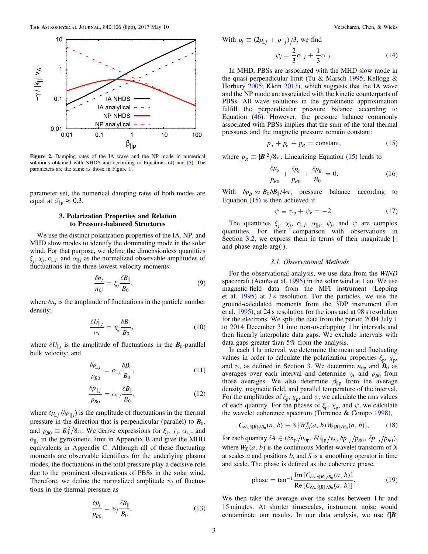<span id="page-2-0"></span>

Figure 2. Damping rates of the IA wave and the NP mode in numerical solutions obtained with NHDS and according to Equations ([4](#page-1-0)) and ([5](#page-1-0)). The parameters are the same as those in Figure [1.](#page-1-0)

parameter set, the numerical damping rates of both modes are equal at  $\beta_{\parallel p} \approx 0.3$ .

## 3. Polarization Properties and Relation to Pressure-balanced Structures

We use the distinct polarization properties of the IA, NP, and MHD slow modes to identify the dominating mode in the solar wind. For that purpose, we define the dimensionless quantities  $\xi_j$ ,  $\chi_j$ ,  $\alpha_{\perp j}$ , and  $\alpha_{\parallel j}$  as the normalized observable amplitudes of fluctuations in the three lowest velocity moments:

$$
\frac{\delta n_j}{n_{0j}} = \xi_j \frac{\delta B_{\parallel}}{B_0},\tag{9}
$$

where  $\delta n_i$  is the amplitude of fluctuations in the particle number density;

$$
\frac{\delta U_{\parallel j}}{v_{\rm A}} = \chi_j \frac{\delta B_{\parallel}}{B_0},\tag{10}
$$

where  $\delta U_{\parallel j}$  is the amplitude of fluctuations in the  $\mathbf{B}_0$ -parallel bulk velocity; and

$$
\frac{\delta p_{\perp j}}{p_{B0}} = \alpha_{\perp j} \frac{\delta B_{\parallel}}{B_0},\tag{11}
$$

$$
\frac{\delta p_{\parallel j}}{p_{B0}} = \alpha_{\parallel j} \frac{\delta B_{\parallel}}{B_0},\tag{12}
$$

where  $\delta p_{\perp j} (\delta p_{\parallel j})$  is the amplitude of fluctuations in the thermal pressure in the direction that is perpendicular (parallel) to  $B_0$ , and  $p_{B0} \equiv B_0^2 / 8\pi$ . We derive expressions for  $\xi_j$ ,  $\chi_j$ ,  $\alpha_{\perp j}$ , and  $\alpha_{\parallel j}$  in the gyrokinetic limit in Appendix [B](#page-6-0) and give the MHD equivalents in Appendix [C](#page-7-0). Although all of these fluctuating moments are observable identifiers for the underlying plasma modes, the fluctuations in the total pressure play a decisive role due to the prominent observations of PBSs in the solar wind. Therefore, we define the normalized amplitude  $\psi_i$  of fluctuations in the thermal pressure as

$$
\frac{\delta p_j}{p_{B0}} = \psi_j \frac{\delta B_{\parallel}}{B_0}.
$$
\n(13)

With 
$$
p_j \equiv (2p_{\perp j} + p_{\parallel j})/3
$$
, we find  
\n
$$
\psi_j = \frac{2}{3}\alpha_{\perp j} + \frac{1}{3}\alpha_{\parallel j}.
$$
\n(14)

In MHD, PBSs are associated with the MHD slow mode in the quasi-perpendicular limit (Tu & Marsch [1995;](#page-7-0) Kellogg & Horbury [2005;](#page-7-0) Klein [2013](#page-7-0)), which suggests that the IA wave and the NP mode are associated with the kinetic counterparts of PBSs. All wave solutions in the gyrokinetic approximation fulfill the perpendicular pressure balance according to Equation ([46](#page-6-0)). However, the pressure balance commonly associated with PBSs implies that the sum of the total thermal pressures and the magnetic pressure remain constant:

$$
p_{\rm p} + p_{\rm e} + p_B = \text{constant},\tag{15}
$$

where  $p_B \equiv |\mathbf{B}|^2 / 8\pi$ . Linearizing Equation (15) leads to

$$
\frac{\delta p_{\rm p}}{p_{B0}} + \frac{\delta p_{\rm e}}{p_{B0}} + \frac{\delta p_{B}}{B_0} = 0.
$$
 (16)

With  $\delta p_B \approx B_0 \delta B_{\parallel}/4\pi$ , pressure balance according to Equation  $(15)$  is then achieved if

$$
\psi \equiv \psi_{\rm p} + \psi_{\rm e} = -2. \tag{17}
$$

The quantities  $\xi_j$ ,  $\chi_j$ ,  $\alpha_{\parallel j}$ ,  $\alpha_{\parallel j}$ ,  $\psi_j$ , and  $\psi$  are complex quantities. For their comparison with observations in Section [3.2](#page-3-0), we express them in terms of their magnitude ∣·∣ and phase angle  $arg(\cdot)$ .

## 3.1. Observational Methods

For the observational analysis, we use data from the WIND spacecraft (Acuña et al. [1995](#page-7-0)) in the solar wind at 1 au. We use magnetic-field data from the MFI instrument (Lepping et al. [1995](#page-7-0)) at 3 s resolution. For the particles, we use the ground-calculated moments from the 3DP instrument (Lin et al. [1995](#page-7-0)), at 24 s resolution for the ions and at 98 s resolution for the electrons. We split the data from the period 2004 July 1 to 2014 December 31 into non-overlapping 1 hr intervals and then linearly interpolate data gaps. We exclude intervals with data gaps greater than 5% from the analysis.

In each 1 hr interval, we determine the mean and fluctuating values in order to calculate the polarization properties  $\xi_p$ ,  $\chi_p$ , and  $\psi$ , as defined in Section 3. We determine  $n_{0p}$  and  $\mathbf{B}_0$  as averages over each interval and determine  $v_A$  and  $p_{B0}$  from those averages. We also determine  $\beta_{\parallel p}$  from the average density, magnetic field, and parallel temperature of the interval. For the amplitudes of  $\xi_p$ ,  $\chi_p$ , and  $\psi$ , we calculate the rms values of each quantity. For the phases of  $\xi_p$ ,  $\chi_p$ , and  $\psi$ , we calculate the wavelet coherence spectrum (Torrence & Compo [1998](#page-7-0)),

$$
C_{\delta A,\delta|B|/B_0}(a, b) \equiv S[W^*_{\delta A}(a, b)W_{\delta|B|/B_0}(a, b)], \quad (18)
$$

for each quantity  $\delta A \in (\delta n_{\rm p}/n_{0{\rm p}}, \delta U_{\parallel \rm p}/v_{\rm A}, \delta p_{\perp j}/p_{B0}, \delta p_{\parallel j}/p_{B0})$ , where  $W_X(a, b)$  is the continuous Morlet-wavelet transform of X at scales  $a$  and positions  $b$ , and  $S$  is a smoothing operator in time and scale. The phase is defined as the coherence phase,

phase = 
$$
\tan^{-1} \frac{\text{Im} [C_{\delta A, \delta |B|/B_0}(a, b)]}{\text{Re} [C_{\delta A, \delta |B|/B_0}(a, b)]}
$$
. (19)

We then take the average over the scales between 1 hr and 15 minutes. At shorter timescales, instrument noise would contaminate our results. In our data analysis, we use  $\delta$ |**B**|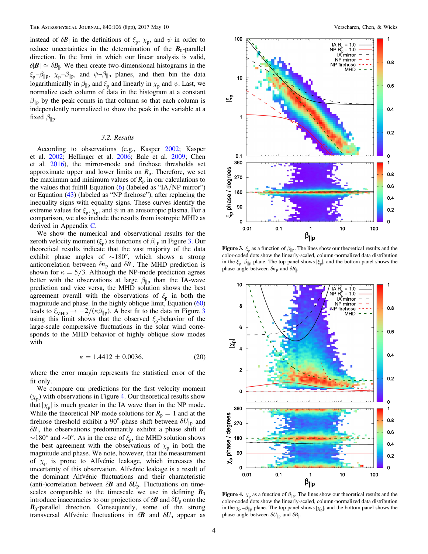<span id="page-3-0"></span>instead of  $\delta B_{\parallel}$  in the definitions of  $\xi_{\rm p}$ ,  $\chi_{\rm p}$ , and  $\psi$  in order to reduce uncertainties in the determination of the  $B_0$ -parallel direction. In the limit in which our linear analysis is valid,  $\delta$ |*B*|  $\simeq \delta B$ <sub>|</sub>. We then create two-dimensional histograms in the  $\xi_{\mathbf{p}} - \beta_{\mathbf{p}}$ ,  $\chi_{\mathbf{p}} - \beta_{\mathbf{p}}$ , and  $\psi - \beta_{\mathbf{p}}$  planes, and then bin the data logarithmically in  $\beta_{\parallel p}$  and  $\xi_p$  and linearly in  $\chi_p$  and  $\psi$ . Last, we normalize each column of data in the histogram at a constant  $\beta_{\parallel p}$  by the peak counts in that column so that each column is independently normalized to show the peak in the variable at a fixed  $\beta_{\parallel p}$ .

#### 3.2. Results

According to observations (e.g., Kasper [2002](#page-7-0); Kasper et al. [2002;](#page-7-0) Hellinger et al. [2006](#page-7-0); Bale et al. [2009](#page-7-0); Chen et al. [2016](#page-7-0)), the mirror-mode and firehose thresholds set approximate upper and lower limits on  $R_p$ . Therefore, we set the maximum and minimum values of  $R_p$  in our calculations to the values that fulfill Equation ([6](#page-1-0)) (labeled as "IA/NP mirror") or Equation ([43](#page-6-0)) (labeled as "NP firehose"), after replacing the inequality signs with equality signs. These curves identify the extreme values for  $\xi_p$ ,  $\chi_p$ , and  $\psi$  in an anisotropic plasma. For a comparison, we also include the results from isotropic MHD as derived in Appendix [C.](#page-7-0)

We show the numerical and observational results for the zeroth velocity moment  $(\xi_p)$  as functions of  $\beta_{\parallel p}$  in Figure 3. Our theoretical results indicate that the vast majority of the data exhibit phase angles of  $\sim 180^\circ$ , which shows a strong anticorrelation between  $\delta n_p$  and  $\delta B_{\parallel}$ . The MHD prediction is shown for  $\kappa = 5/3$ . Although the NP-mode prediction agrees better with the observations at large  $\beta_{\parallel p}$  than the IA-wave prediction and vice versa, the MHD solution shows the best agreement overall with the observations of  $\xi_p$  in both the magnitude and phase. In the highly oblique limit, Equation ([60](#page-7-0)) leads to  $\xi_{\text{MHD}} \rightarrow -2/(\kappa \beta_{\parallel p})$ . A best fit to the data in Figure 3 using this limit shows that the observed  $\xi_p$ -behavior of the large-scale compressive fluctuations in the solar wind corresponds to the MHD behavior of highly oblique slow modes with

$$
\kappa = 1.4412 \pm 0.0036, \tag{20}
$$

where the error margin represents the statistical error of the fit only.

We compare our predictions for the first velocity moment  $(\chi_p)$  with observations in Figure 4. Our theoretical results show that  $|\chi_n|$  is much greater in the IA wave than in the NP mode. While the theoretical NP-mode solutions for  $R_p = 1$  and at the firehose threshold exhibit a 90°-phase shift between  $\delta U_{\parallel p}$  and  $\delta B_{\parallel}$ , the observations predominantly exhibit a phase shift of  $\sim$ 180° and  $\sim$ 0°. As in the case of  $\xi_p$ , the MHD solution shows the best agreement with the observations of  $\chi_{\rm p}$  in both the magnitude and phase. We note, however, that the measurement of  $\chi_p$  is prone to Alfvénic leakage, which increases the uncertainty of this observation. Alfvénic leakage is a result of the dominant Alfvénic fluctuations and their characteristic (anti-)correlation between  $\delta$ *B* and  $\delta$ *U***<sub>p</sub>. Fluctuations on time**scales comparable to the timescale we use in defining  $B_0$ introduce inaccuracies to our projections of  $\delta$ *B* and  $\delta$ *U***<sub>p</sub>** onto the **B**<sub>0</sub>-parallel direction. Consequently, some of the strong transversal Alfvénic fluctuations in  $\delta \mathbf{B}$  and  $\delta U_p$  appear as



**Figure 3.**  $\xi_p$  as a function of  $\beta_{\parallel p}$ . The lines show our theoretical results and the color-coded dots show the linearly-scaled, column-normalized data distribution in the  $\xi_p - \beta_{\parallel p}$  plane. The top panel shows  $|\xi_p|$ , and the bottom panel shows the phase angle between  $\delta n_p$  and  $\delta B_{\parallel}$ .



**Figure 4.**  $\chi_p$  as a function of  $\beta_{\parallel p}$ . The lines show our theoretical results and the color-coded dots show the linearly-scaled, column-normalized data distribution in the  $\chi_{p}$  –  $\beta_{\parallel p}$  plane. The top panel shows  $|\chi_{p}|$ , and the bottom panel shows the phase angle between  $\delta U_{\parallel p}$  and  $\delta B_{\parallel}$ .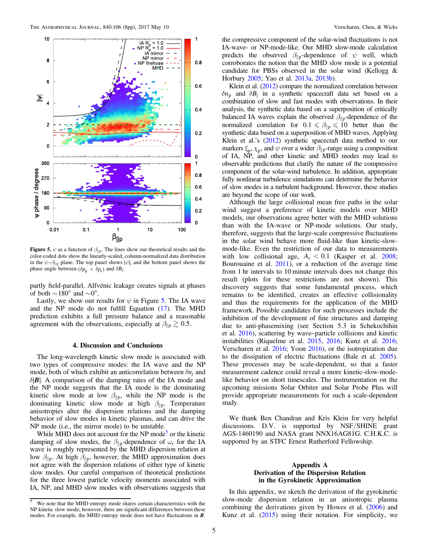<span id="page-4-0"></span>

**Figure 5.**  $\psi$  as a function of  $\beta_{\parallel p}$ . The lines show our theoretical results and the color-coded dots show the linearly-scaled, column-normalized data distribution in the  $\psi - \beta_{\parallel p}$  plane. The top panel shows | $\psi$ |, and the bottom panel shows the phase angle between ( $\delta p_p + \delta p_e$ ) and  $\delta B_{\parallel}$ .

partly field-parallel. Alfvénic leakage creates signals at phases of both  $\sim$ 180 $^{\circ}$  and  $\sim$ 0 $^{\circ}$ .

Lastly, we show our results for  $\psi$  in Figure 5. The IA wave and the NP mode do not fulfill Equation ([17](#page-2-0)). The MHD prediction exhibits a full pressure balance and a reasonable agreement with the observations, especially at  $\beta_{\parallel p} \gtrsim 0.5$ .

#### 4. Discussion and Conclusions

The long-wavelength kinetic slow mode is associated with two types of compressive modes: the IA wave and the NP mode, both of which exhibit an anticorrelation between  $\delta n_i$  and *d*|*B*|. A comparison of the damping rates of the IA mode and the NP mode suggests that the IA mode is the dominating kinetic slow mode at low  $\beta_{\parallel p}$ , while the NP mode is the dominating kinetic slow mode at high  $\beta_{\parallel p}$ . Temperature anisotropies alter the dispersion relations and the damping behavior of slow modes in kinetic plasmas, and can drive the NP mode (i.e., the mirror mode) to be unstable.

While MHD does not account for the NP mode<sup>5</sup> or the kinetic damping of slow modes, the  $\beta_{\parallel p}$ -dependence of  $\omega_r$  for the IA wave is roughly represented by the MHD dispersion relation at low  $\beta_{\parallel p}$ . At high  $\beta_{\parallel p}$ , however, the MHD approximation does not agree with the dispersion relations of either type of kinetic slow modes. Our careful comparison of theoretical predictions for the three lowest particle velocity moments associated with IA, NP, and MHD slow modes with observations suggests that

the compressive component of the solar-wind fluctuations is not IA-wave- or NP-mode-like. Our MHD slow-mode calculation predicts the observed  $\beta_{\parallel p}$ -dependence of  $\psi$  well, which corroborates the notion that the MHD slow mode is a potential candidate for PBSs observed in the solar wind (Kellogg & Horbury [2005;](#page-7-0) Yao et al. [2013a,](#page-7-0) [2013b](#page-7-0)).

Klein et al. ([2012](#page-7-0)) compare the normalized correlation between  $\delta n_p$  and  $\delta B_{\parallel}$  in a synthetic spacecraft data set based on a combination of slow and fast modes with observations. In their analysis, the synthetic data based on a superposition of critically balanced IA waves explain the observed  $\beta_{\parallel p}$ -dependence of the normalized correlation for  $0.1 \le \beta_{\parallel p} \le 10$  better than the synthetic data based on a superposition of MHD waves. Applying Klein et al.'s ([2012](#page-7-0)) synthetic spacecraft data method to our markers  $\xi_p$ ,  $\chi_p$ , and  $\psi$  over a wider  $\beta_{\parallel p}$ -range using a composition of IA, NP, and other kinetic and MHD modes may lead to observable predictions that clarify the nature of the compressive component of the solar-wind turbulence. In addition, appropriate fully nonlinear turbulence simulations can determine the behavior of slow modes in a turbulent background. However, these studies are beyond the scope of our work.

Although the large collisional mean free paths in the solar wind suggest a preference of kinetic models over MHD models, our observations agree better with the MHD solutions than with the IA-wave or NP-mode solutions. Our study, therefore, suggests that the large-scale compressive fluctuations in the solar wind behave more fluid-like than kinetic-slowmode-like. Even the restriction of our data to measurements with low collisional age,  $A_c < 0.1$  (Kasper et al. [2008](#page-7-0); Bourouaine et al. [2011](#page-7-0)), or a reduction of the average time from 1 hr intervals to 10 minute intervals does not change this result (plots for these restrictions are not shown). This discovery suggests that some fundamental process, which remains to be identified, creates an effective collisionality and thus the requirements for the application of the MHD framework. Possible candidates for such processes include the inhibition of the development of fine structures and damping due to anti-phasemixing (see Section 5.3 in Schekochihin et al. [2016](#page-7-0)), scattering by wave–particle collisions and kinetic instabilities (Riquelme et al. [2015,](#page-7-0) [2016;](#page-7-0) Kunz et al. [2016](#page-7-0); Verscharen et al. [2016](#page-7-0); Yoon [2016](#page-7-0)), or the isotropization due to the dissipation of electric fluctuations (Bale et al. [2005](#page-7-0)). These processes may be scale-dependent, so that a faster measurement cadence could reveal a more kinetic-slow-modelike behavior on short timescales. The instrumentation on the upcoming missions Solar Orbiter and Solar Probe Plus will provide appropriate measurements for such a scale-dependent study.

We thank Ben Chandran and Kris Klein for very helpful discussions. D.V. is supported by NSF/SHINE grant AGS-1460190 and NASA grant NNX16AG81G. C.H.K.C. is supported by an STFC Ernest Rutherford Fellowship.

# Appendix A Derivation of the Dispersion Relation in the Gyrokinetic Approximation

In this appendix, we sketch the derivation of the gyrokinetic slow-mode dispersion relation in an anisotropic plasma combining the derivations given by Howes et al. ([2006](#page-7-0)) and Kunz et al.  $(2015)$  $(2015)$  $(2015)$  using their notation. For simplicity, we

<sup>5</sup> We note that the MHD entropy mode shares certain characteristics with the NP kinetic slow mode; however, there are significant differences between these modes. For example, the MHD entropy mode does not have fluctuations in *B*.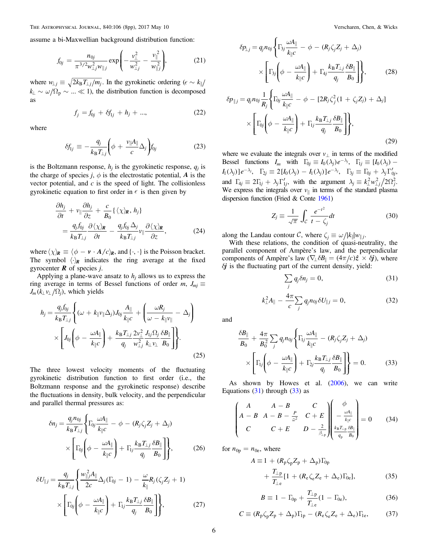<span id="page-5-0"></span>assume a bi-Maxwellian background distribution function:

$$
f_{0j} = \frac{n_{0j}}{\pi^{3/2} w_{\perp j}^2 w_{\parallel j}} \exp\left(-\frac{v_{\perp}^2}{w_{\perp j}^2} - \frac{v_{\parallel}^2}{w_{\parallel j}^2}\right),
$$
 (21)

where  $w_{\perp j} \equiv \sqrt{2k_B T_{\perp j}/m_j}$ . In the gyrokinetic ordering ( $\epsilon \sim k_{\parallel}/2$  $k_{\perp} \sim \omega/\Omega_p \sim ... \ll 1$ , the distribution function is decomposed as

$$
f_j = f_{0j} + \delta f_{1j} + h_j + ..., \qquad (22)
$$

where

$$
\delta f_{1j} \equiv -\frac{q_j}{k_B T_{\perp j}} \left( \phi + \frac{\nu \|A\|}{c} \Delta_j \right) f_{0j} \tag{23}
$$

is the Boltzmann response,  $h_i$  is the gyrokinetic response,  $q_i$  is the charge of species j,  $\phi$  is the electrostatic potential, A is the vector potential, and  $c$  is the speed of light. The collisionless gyrokinetic equation to first order in  $\epsilon$  is then given by

$$
\frac{\partial h_j}{\partial t} + v_{\parallel} \frac{\partial h_j}{\partial z} + \frac{c}{B_0} \{ \langle \chi \rangle_{\mathbf{R}}, h_j \}
$$
  
= 
$$
\frac{q_j f_{0j}}{k_{\mathbf{B}} T_{\perp j}} \frac{\partial \langle \chi \rangle_{\mathbf{R}}}{\partial t} - \frac{q_j f_{0j} \Delta_j}{k_{\mathbf{B}} T_{\perp j}} v_{\parallel} \frac{\partial \langle \chi \rangle_{\mathbf{R}}}{\partial z},
$$
(24)

where  $\langle \chi \rangle_{\mathbf{R}} \equiv \langle \phi - \mathbf{v} \cdot \mathbf{A}/c \rangle_{\mathbf{R}}$ , and  $\{\cdot, \cdot\}$  is the Poisson bracket. The symbol  $\langle \cdot \rangle_R$  indicates the ring average at the fixed gyrocenter  $\boldsymbol{R}$  of species  $j$ .

Applying a plane-wave ansatz to  $h_i$  allows us to express the ring average in terms of Bessel functions of order  $m$ ,  $J_{mj} \equiv$  $J_m$  ( $k_\perp$   $v_\perp$  / $\Omega$ <sub>*j*</sub>), which yields

$$
h_j = \frac{q_j f_{0j}}{k_B T_{\perp j}} \left\{ (\omega + k_{\parallel} \nu_{\parallel} \Delta_j) J_{0j} \frac{A_{\parallel}}{k_{\parallel} c} + \left( \frac{\omega R_j}{\omega - k_{\parallel} \nu_{\parallel}} - \Delta_j \right) \times \left[ J_{0j} \left( \phi - \frac{\omega A_{\parallel}}{k_{\parallel} c} \right) + \frac{k_B T_{\perp j}}{q_j} \frac{2 \nu_{\perp}^2}{\omega_{\perp j}^2} \frac{J_{1j} \Omega_j}{k_{\perp} \nu_{\perp}} \frac{\delta B_{\parallel}}{B_0} \right] \right\}.
$$
\n(25)

The three lowest velocity moments of the fluctuating gyrokinetic distribution function to first order (i.e., the Boltzmann response and the gyrokinetic response) describe the fluctuations in density, bulk velocity, and the perpendicular and parallel thermal pressures as:

$$
\delta n_j = \frac{q_j n_{0j}}{k_B T_{\perp j}} \left\{ \Gamma_{0j} \frac{\omega A_{\parallel}}{k_{\parallel} c} - \phi - (R_j \zeta_j Z_j + \Delta_j) \right\} \times \left[ \Gamma_{0j} \left( \phi - \frac{\omega A_{\parallel}}{k_{\parallel} c} \right) + \Gamma_{1j} \frac{k_B T_{\perp j}}{q_j} \frac{\delta B_{\parallel}}{B_0} \right] \right\},\tag{26}
$$

$$
\delta U_{\parallel j} = \frac{q_j}{k_\text{B} T_{\perp j}} \left\{ \frac{w_{\parallel j}^2 A_{\parallel}}{2c} \Delta_j (\Gamma_{0j} - 1) - \frac{\omega}{k_\parallel} R_j (\zeta_j Z_j + 1) \times \left[ \Gamma_{0j} \left( \phi - \frac{\omega A_{\parallel}}{k_\parallel c} \right) + \Gamma_{1j} \frac{k_\text{B} T_{\perp j}}{q_j} \frac{\delta B_{\parallel}}{B_0} \right] \right\},\tag{27}
$$

$$
\delta p_{\perp j} = q_j n_{0j} \left\{ \Gamma_{3j} \frac{\omega A_{\parallel}}{k_{\parallel} c} - \phi - (R_j \zeta_j Z_j + \Delta_j) \right\}
$$

$$
\times \left[ \Gamma_{3j} \left( \phi - \frac{\omega A_{\parallel}}{k_{\parallel} c} \right) + \Gamma_{4j} \frac{k_{\rm B} T_{\perp j}}{q_j} \frac{\delta B_{\parallel}}{B_0} \right] \right\}, \tag{28}
$$

$$
\delta p_{\parallel j} = q_j n_{0j} \frac{1}{R_j} \Biggl\{ \Gamma_{0j} \frac{\omega A_{\parallel}}{k_{\parallel} c} - \phi - [2R_j \zeta_j^2 (1 + \zeta_j Z_j) + \Delta_j] \Biggr\} \times \Biggl[ \Gamma_{0j} \Biggl( \phi - \frac{\omega A_{\parallel}}{k_{\parallel} c} \Biggr) + \Gamma_{1j} \frac{k_B T_{\perp j}}{q_j} \frac{\delta B_{\parallel}}{B_0} \Biggr] \Biggr\},
$$
\n(29)

where we evaluate the integrals over  $v_{\perp}$  in terms of the modified Bessel functions  $I_m$  with  $\Gamma_{0j} \equiv I_0(\lambda_j) e^{-\lambda_j}$ ,  $\Gamma_{1j} \equiv [I_0(\lambda_j) - I_0(\lambda_j)]$  $I_1(\lambda_j)$ ] $e^{-\lambda_j}$ ,  $\Gamma_{2j} \equiv 2[I_0(\lambda_j) - I_1(\lambda_j)]e^{-\lambda_j}$ ,  $\Gamma_{3j} \equiv \Gamma_{0j} + \lambda_j \Gamma'_{0j}$ , and  $\Gamma_{4j} \equiv 2\Gamma_{1j} + \lambda_j \Gamma'_{1j}$ , with the argument  $\lambda_j \equiv k_{\perp}^2 w_{\perp j}^2 / 2\Omega_j^2$ . We express the integrals over  $v_{\parallel}$  in terms of the standard plasma dispersion function (Fried & Conte [1961](#page-7-0))

$$
Z_j \equiv \frac{1}{\sqrt{\pi}} \int_{\mathcal{C}} \frac{e^{-t^2}}{t - \zeta_j} dt
$$
 (30)

along the Landau contour C, where  $\zeta_i \equiv \omega / |k_{\parallel}| w_{\parallel j}$ .

With these relations, the condition of quasi-neutrality, the parallel component of Ampère's law, and the perpendicular components of Ampère's law  $(\nabla_1 \delta B_{\parallel} = (4\pi/c)\hat{z} \times \delta \hat{j})$ , where *dj* is the fluctuating part of the current density, yield:

$$
\sum_{j} q_j \delta n_j = 0,\tag{31}
$$

$$
k_{\perp}^{2} A_{\parallel} - \frac{4\pi}{c} \sum_{j} q_{j} n_{0j} \delta U_{\parallel j} = 0, \qquad (32)
$$

and

$$
\frac{\delta B_{\parallel}}{B_0} + \frac{4\pi}{B_0^2} \sum_j q_j n_{0j} \left\{ \Gamma_{lj} \frac{\omega A_{\parallel}}{k_{\parallel} c} - (R_j \zeta_j Z_j + \Delta_j) \times \left[ \Gamma_{lj} \left( \phi - \frac{\omega A_{\parallel}}{k_{\parallel} c} \right) + \Gamma_{2j} \frac{k_B T_{\perp j}}{q_j} \frac{\delta B_{\parallel}}{B_0} \right] \right\} = 0. \tag{33}
$$

As shown by Howes et al. ([2006](#page-7-0)), we can write Equations  $(31)$  through  $(33)$  as

$$
\begin{pmatrix}\nA & A-B & C \\
A-B & A-B-\frac{P}{\omega^2} & C+E \\
C & C+E & D-\frac{2}{\beta_{\perp p}}\n\end{pmatrix}\n\begin{pmatrix}\n\phi \\
-\frac{\omega A_{\parallel}}{k_{\parallel}c} \\
q_p\frac{k_B T_{\perp p}}{\beta_0} \delta B_{\parallel}\n\end{pmatrix} = 0
$$
\n(34)

for  $n_{0p} = n_{0e}$ , where

$$
A \equiv 1 + (R_{\rm p}\zeta_{\rm p}Z_{\rm p} + \Delta_{\rm p})\Gamma_{0\rm p}
$$
  
+ 
$$
\frac{T_{\perp \rm p}}{T_{\perp \rm e}}[1 + (R_{\rm e}\zeta_{\rm e}Z_{\rm e} + \Delta_{\rm e})\Gamma_{0\rm e}],
$$
(35)

$$
B \equiv 1 - \Gamma_{0p} + \frac{T_{\perp p}}{T_{\perp e}} (1 - \Gamma_{0e}), \tag{36}
$$

$$
C \equiv (R_{\rm p}\zeta_{\rm p}Z_{\rm p} + \Delta_{\rm p})\Gamma_{\rm lp} - (R_{\rm e}\zeta_{\rm e}Z_{\rm e} + \Delta_{\rm e})\Gamma_{\rm le},\tag{37}
$$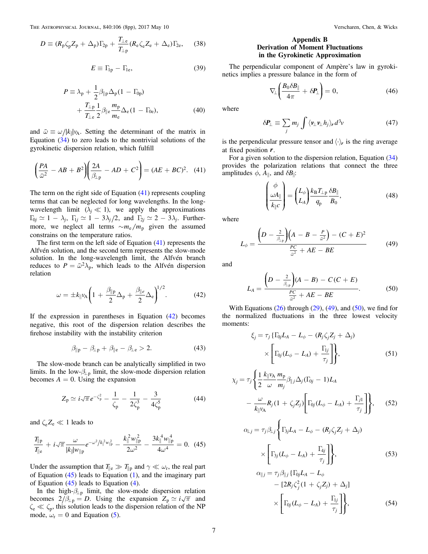<span id="page-6-0"></span>
$$
D \equiv (R_{\rm p}\zeta_{\rm p}Z_{\rm p} + \Delta_{\rm p})\Gamma_{2\rm p} + \frac{T_{\perp e}}{T_{\perp \rm p}}(R_{\rm e}\zeta_{\rm e}Z_{\rm e} + \Delta_{\rm e})\Gamma_{2\rm e},\qquad(38)
$$

$$
E \equiv \Gamma_{\rm lp} - \Gamma_{\rm le},\tag{39}
$$

$$
P \equiv \lambda_{\rm p} + \frac{1}{2} \beta_{\parallel \rm p} \Delta_{\rm p} (1 - \Gamma_{0\rm p})
$$
  
+ 
$$
\frac{T_{\perp \rm p}}{T_{\perp \rm e}} \frac{1}{2} \beta_{\parallel \rm e} \frac{m_{\rm p}}{m_{\rm e}} \Delta_{\rm e} (1 - \Gamma_{0\rm e}),
$$
(40)

and  $\bar{\omega} \equiv \omega / |k_{\parallel}| v_A$ . Setting the determinant of the matrix in Equation ([34](#page-5-0)) to zero leads to the nontrivial solutions of the gyrokinetic dispersion relation, which fulfill

$$
\left(\frac{PA}{\bar{\omega}^2} - AB + B^2\right)\left(\frac{2A}{\beta_{\perp p}} - AD + C^2\right) = (AE + BC)^2.
$$
 (41)

The term on the right side of Equation (41) represents coupling terms that can be neglected for long wavelengths. In the longwavelength limit  $(\lambda_j \ll 1)$ , we apply the approximations  $\Gamma_{0j} \simeq 1 - \lambda_j$ ,  $\Gamma_{1j} \simeq 1 - 3\lambda_j/2$ , and  $\Gamma_{2j} \simeq 2 - 3\lambda_j$ . Furthermore, we neglect all terms  $\sim m_e/m_p$  given the assumed constrains on the temperature ratios.

The first term on the left side of Equation (41) represents the Alfvén solution, and the second term represents the slow-mode solution. In the long-wavelength limit, the Alfvén branch reduces to  $P = \bar{\omega}^2 \lambda_p$ , which leads to the Alfvén dispersion relation

$$
\omega = \pm k_{\parallel} v_{\rm A} \bigg( 1 + \frac{\beta_{\parallel p}}{2} \Delta_{\rm p} + \frac{\beta_{\parallel e}}{2} \Delta_{\rm e} \bigg)^{1/2} . \tag{42}
$$

If the expression in parentheses in Equation  $(42)$  becomes negative, this root of the dispersion relation describes the firehose instability with the instability criterion

$$
\beta_{\parallel p} - \beta_{\perp p} + \beta_{\parallel e} - \beta_{\perp e} > 2. \tag{43}
$$

The slow-mode branch can be analytically simplified in two limits. In the low- $\beta_{\perp p}$  limit, the slow-mode dispersion relation becomes  $A = 0$ . Using the expansion

$$
Z_{\rm p} \simeq i \sqrt{\pi} e^{-\zeta_{\rm p}^{2}} - \frac{1}{\zeta_{\rm p}} - \frac{1}{2\zeta_{\rm p}^{3}} - \frac{3}{4\zeta_{\rm p}^{5}}
$$
(44)

and  $\zeta_e Z_e \ll 1$  leads to

$$
\frac{T_{\parallel p}}{T_{\parallel e}} + i\sqrt{\pi} \frac{\omega}{|k_{\parallel}|w_{\parallel p}} e^{-\omega^2/k_{\parallel}^2 w_{\parallel p}^2} - \frac{k_{\parallel}^2 w_{\parallel p}^2}{2\omega^2} - \frac{3k_{\parallel}^4 w_{\parallel p}^4}{4\omega^4} = 0. \tag{45}
$$

Under the assumption that  $T_{\parallel e} \gg T_{\parallel p}$  and  $\gamma \ll \omega_r$ , the real part of Equation  $(45)$  leads to Equation  $(1)$  $(1)$  $(1)$ , and the imaginary part of Equation (45) leads to Equation ([4](#page-1-0)).

In the high- $\beta_{\perp p}$  limit, the slow-mode dispersion relation becomes  $2/\beta_{\perp p} = D$ . Using the expansion  $Z_p \simeq i\sqrt{\pi}$  and  $\zeta_e \ll \zeta_p$ , this solution leads to the dispersion relation of the NP mode,  $\omega_r = 0$  and Equation ([5](#page-1-0)).

## Appendix B Derivation of Moment Fluctuations in the Gyrokinetic Approximation

The perpendicular component of Ampère's law in gyrokinetics implies a pressure balance in the form of

$$
\nabla_{\perp} \left( \frac{B_0 \delta B_{\parallel}}{4\pi} + \delta P_{\perp} \right) = 0, \tag{46}
$$

where

$$
\delta P_{\perp} \equiv \sum_{j} m_{j} \int \langle v_{\perp} v_{\perp} h_{j} \rangle_{r} d^{3}v \tag{47}
$$

is the perpendicular pressure tensor and  $\langle \cdot \rangle_r$  is the ring average at fixed position *r*.

For a given solution to the dispersion relation, Equation ([34](#page-5-0)) provides the polarization relations that connect the three amplitudes  $\phi$ ,  $A_{\parallel}$ , and  $\delta B_{\parallel}$ :

$$
\begin{pmatrix} \phi \\ \omega A_{\parallel} \\ k_{\parallel} c \end{pmatrix} = \begin{pmatrix} L_{\phi} \\ L_{A} \end{pmatrix} \frac{k_{\rm B} T_{\perp \rm p}}{q_{\rm p}} \frac{\delta B_{\parallel}}{B_{0}},\tag{48}
$$

where

$$
L_{\phi} = \frac{\left(D - \frac{2}{\beta_{\perp p}}\right)\left(A - B - \frac{P}{\omega^2}\right) - (C + E)^2}{\frac{PC}{\omega^2} + AE - BE} \tag{49}
$$

and

$$
L_A = \frac{\left(D - \frac{2}{\beta_{\perp p}}\right)(A - B) - C(C + E)}{\frac{PC}{\bar{\omega}^2} + AE - BE}.
$$
 (50)

With Equations  $(26)$  $(26)$  $(26)$  through  $(29)$  $(29)$  $(29)$ ,  $(49)$ , and  $(50)$ , we find for the normalized fluctuations in the three lowest velocity moments:

$$
\xi_j = \tau_j \left\{ \Gamma_{0j} L_A - L_\phi - (R_j \zeta_j Z_j + \Delta_j) \times \left[ \Gamma_{0j} (L_\phi - L_A) + \frac{\Gamma_{1j}}{\tau_j} \right] \right\},\tag{51}
$$

$$
\chi_j = \tau_j \left\{ \frac{1}{2} \frac{k_{\parallel} v_{\rm A}}{\omega} \frac{m_{\rm p}}{m_j} \beta_{\parallel j} \Delta_j (\Gamma_{0j} - 1) L_{\rm A} \right. \\ \left. - \frac{\omega}{k_{\parallel} v_{\rm A}} R_j (1 + \zeta_j Z_j) \left[ \Gamma_{0j} (L_{\phi} - L_{\rm A}) + \frac{\Gamma_{j1}}{\tau_j} \right] \right\}, \tag{52}
$$

$$
\alpha_{\perp j} = \tau_j \beta_{\perp j} \left\{ \Gamma_{3j} L_A - L_\phi - (R_j \zeta_j Z_j + \Delta_j) \times \left[ \Gamma_{3j} (L_\phi - L_A) + \frac{\Gamma_{4j}}{\tau_j} \right] \right\},\tag{53}
$$

$$
\alpha_{\parallel j} = \tau_j \beta_{\parallel j} \left\{ \Gamma_{0j} L_A - L_\phi \right. \\ \left. - [2R_j \zeta_j^2 (1 + \zeta_j Z_j) + \Delta_j] \times \left[ \Gamma_{0j} (L_\phi - L_A) + \frac{\Gamma_{1j}}{\tau_j} \right] \right\},\tag{54}
$$